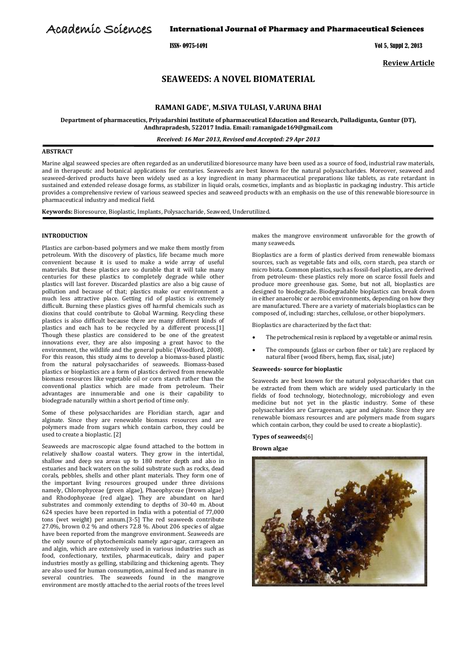# Academic Sciences

International Journal of Pharmacy and Pharmaceutical Sciences

ISSN- 0975-1491 Vol 5, Suppl 2, 2013

**Review Article**

# **SEAWEEDS: A NOVEL BIOMATERIAL**

# **RAMANI GADE\* , M.SIVA TULASI, V.ARUNA BHAI**

**Department of pharmaceutics, Priyadarshini Institute of pharmaceutical Education and Research, Pulladigunta, Guntur (DT), Andhrapradesh, 522017 India. Email: ramanigade169@gmail.com**

*Received: 16 Mar 2013, Revised and Accepted: 29 Apr 2013*

# **ABSTRACT**

Marine algal seaweed species are often regarded as an underutilized bioresource many have been used as a source of food, industrial raw materials, and in therapeutic and botanical applications for centuries. Seaweeds are best known for the natural polysaccharides. Moreover, seaweed and seaweed-derived products have been widely used as a key ingredient in many pharmaceutical preparations like tablets, as rate retardant in sustained and extended release dosage forms, as stabilizer in liquid orals, cosmetics, implants and as bioplastic in packaging industry. This article provides a comprehensive review of various seaweed species and seaweed products with an emphasis on the use of this renewable bioresource in pharmaceutical industry and medical field.

**Keywords:** Bioresource, Bioplastic, Implants, Polysaccharide, Seaweed, Underutilized.

# **INTRODUCTION**

Plastics are carbon-based polymers and we make them mostly from petroleum. With the discovery of plastics, life became much more convenient because it is used to make a wide array of useful materials. But these plastics are so durable that it will take many centuries for these plastics to completely degrade while other plastics will last forever. Discarded plastics are also a big cause of pollution and because of that; plastics make our environment a much less attractive place. Getting rid of plastics is extremely difficult. Burning these plastics gives off harmful chemicals such as dioxins that could contribute to Global Warming. Recycling these plastics is also difficult because there are many different kinds of plastics and each has to be recycled by a different process.[1] Though these plastics are considered to be one of the greatest innovations ever, they are also imposing a great havoc to the environment, the wildlife and the general public (Woodford, 2008). For this reason, this study aims to develop a biomass-based plastic from the natural polysaccharides of seaweeds. Biomass-based plastics or bioplastics are a form of plastics derived from renewable biomass resources like vegetable oil or corn starch rather than the conventional plastics which are made from petroleum. Their advantages are innumerable and one is their capability to biodegrade naturally within a short period of time only.

Some of these polysaccharides are Floridian starch, agar and alginate. Since they are renewable biomass resources and are polymers made from sugars which contain carbon, they could be used to create a bioplastic. [2]

Seaweeds are macroscopic algae found attached to the bottom in relatively shallow coastal waters. They grow in the intertidal, shallow and deep sea areas up to 180 meter depth and also in estuaries and back waters on the solid substrate such as rocks, dead corals, pebbles, shells and other plant materials. They form one of the important living resources grouped under three divisions namely, Chlorophyceae (green algae), Phaeophyceae (brown algae) and Rhodophyceae (red algae). They are abundant on hard substrates and commonly extending to depths of 30‐40 m. About 624 species have been reported in India with a potential of 77,000 tons (wet weight) per annum.[3-5] The red seaweeds contribute 27.0%, brown 0.2 % and others 72.8 %. About 206 species of algae have been reported from the mangrove environment. Seaweeds are the only source of phytochemicals namely agar-agar, carrageen an and algin, which are extensively used in various industries such as food, confectionary, textiles, pharmaceuticals, dairy and paper industries mostly as gelling, stabilizing and thickening agents. They are also used for human consumption, animal feed and as manure in several countries. The seaweeds found in the mangrove environment are mostly attached to the aerial roots of the trees level

makes the mangrove environment unfavorable for the growth of many seaweeds.

Bioplastics are a form of [plastics](http://en.wikipedia.org/wiki/Plastic) derived from renewable [biomass](http://en.wikipedia.org/wiki/Biomass) sources, such as [vegetable fats and oils,](http://en.wikipedia.org/wiki/Vegetable_fats_and_oils) [corn starch,](http://en.wikipedia.org/wiki/Corn_starch) [pea](http://en.wikipedia.org/wiki/Pea) starch or [micro biota.](http://en.wikipedia.org/wiki/Microbiota) Common plastics, such a[s fossil-fuel plastics,](http://en.wikipedia.org/wiki/Fossil-fuel_plastic) are derived from [petroleum-](http://en.wikipedia.org/wiki/Petroleum) these plastics rely more on scarce fossil fuels and produce more [greenhouse gas.](http://en.wikipedia.org/wiki/Greenhouse_gas) Some, but not all, bioplastics are designed to [biodegrade.](http://en.wikipedia.org/wiki/Biodegradation) Biodegradable bioplastics can break down in either anaerobic or aerobic environments, depending on how they are manufactured. There are a variety of materials bioplastics can be composed of, including[: starches,](http://en.wikipedia.org/wiki/Starch) [cellulose,](http://en.wikipedia.org/wiki/Cellulose) or othe[r biopolymers.](http://en.wikipedia.org/wiki/Biopolymer)

Bioplastics are characterized by the fact that:

- The petrochemical resin is replaced by a vegetable or animal resin.
- The compounds (glass or carbon fiber or talc) are replaced by natural fiber (wood fibers, hemp, flax, sisal, jute)

# **Seaweeds- source for bioplastic**

Seaweeds are best known for the natural polysaccharides that can be extracted from them which are widely used particularly in the fields of food technology, biotechnology, microbiology and even medicine but not yet in the plastic industry. Some of these polysaccharides are Carrageenan, agar and alginate. Since they are renewable biomass resources and are polymers made from sugars which contain carbon, they could be used to create a bioplastic).

# **Types of seaweeds**[6]

**Brown algae**

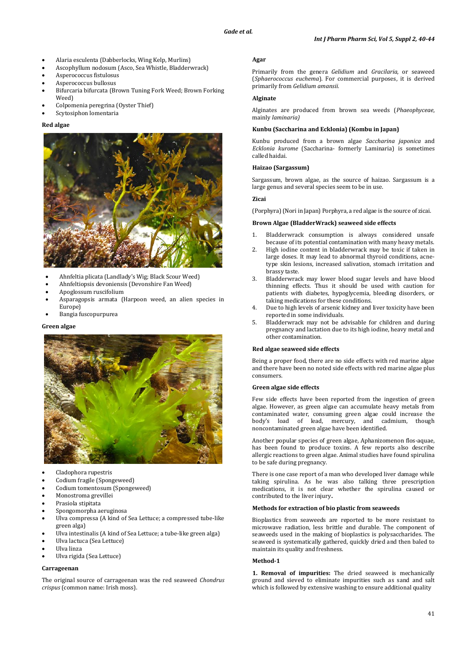- Alaria esculenta (Dabberlocks, Wing Kelp, Murlins)
- Ascophyllum nodosum (Asco, Sea Whistle, Bladderwrack)
- Asperococcus fistulosus
- Asperococcus bullosus
- Bifurcaria bifurcata (Brown Tuning Fork Weed; Brown Forking Weed)
- Colpomenia peregrina (Oyster Thief)
- Scytosiphon lomentaria

# **Red algae**



- Ahnfeltia plicata (Landlady's Wig; Black Scour Weed)
- Ahnfeltiopsis devoniensis (Devonshire Fan Weed)
- Apoglossum ruscifolium
- Asparagopsis armata (Harpoon weed, an alien species in Europe)
- Bangia fuscopurpurea

# **Green algae**



- Cladophora rupestris
- Codium fragile (Spongeweed)
- [Codium tomentosum](http://www.seaweed.ie/descriptions/Codium_tomentosum.php) (Spongeweed)
- Monostroma grevillei
- [Prasiola stipitata](http://www.seaweed.ie/descriptions/prasiola_stipitata.php)
- [Spongomorpha aeruginosa](http://www.seaweed.ie/descriptions/Spongomorpha_aeruginosa.php)
- Ulva compressa (A kind of Sea Lettuce; a compressed tube-like green alga)
- Ulva intestinalis (A kind of Sea Lettuce; a tube-like green alga)
- Ulva lactuca (Sea Lettuce)
- Ulva linza
- Ulva rigida (Sea Lettuce)

# **Carrageenan**

The original source of carrageenan was the red seaweed *Chondrus crispus* (common name: Irish moss).

#### **Agar**

Primarily from the [genera](http://en.wikipedia.org/wiki/Genus) *Gelidium* and *Gracilaria*, or [seaweed](http://en.wikipedia.org/wiki/Seaweed) (*Sphaerococcus euchema*). For commercial purposes, it is derived primarily from *[Gelidium amansii.](http://en.wikipedia.org/wiki/Gelidium_amansii)*

# **Alginate**

Alginates are produced from brown sea weeds (*Phaeophyceae*, mainly *laminaria)*

#### **Kunbu (Saccharina and Ecklonia) (Kombu in Japan)**

Kunbu produced from a brown algae *Saccharina japonica* and *Ecklonia kurome* (Saccharina- formerly Laminaria) is sometimes called haidai.

#### **Haizao (Sargassum)**

Sargassum, brown algae, as the source of haizao. Sargassum is a large genus and several species seem to be in use.

# **Zicai**

(Porphyra) [\(Nori](http://www.seaweed.ie/uses_general/humanfood.php) in Japan) Porphyra, a red algae is the source of zicai.

# **Brown Algae (BladderWrack) seaweed side effects**

- 1. Bladderwrack consumption is always considered unsafe because of its potential contamination with many heavy metals.
- 2. High iodine content in bladderwrack may be toxic if taken in large doses. It may lead to abnormal thyroid conditions, acnetype skin lesions, increased salivation, stomach irritation and brassy taste.
- 3. Bladderwrack may lower blood sugar levels and have blood thinning effects. Thus it should be used with caution for patients with diabetes, hypoglycemia, bleeding disorders, or taking medications for these conditions.
- 4. Due to high levels of arsenic kidney and liver toxicity have been reported in some individuals.
- 5. Bladderwrack may not be advisable for children and during pregnancy and lactation due to its high iodine, heavy metal and other contamination.

#### **Red algae seaweed side effects**

Being a proper food, there are no side effects with red marine algae and there have been no noted side effects with red marine algae plus consumers.

#### **Green algae side effects**

Few side effects have been reported from the ingestion of green algae. However, as green algae can accumulate heavy metals from contaminated water, consuming green algae could increase the body's load of lead, mercury, and cadmium, though noncontaminated green algae have been identified.

Another popular species of green algae, Aphanizomenon flos-aquae, has been found to produce toxins. A few reports also describe allergic reactions to green algae. Animal studies have found spirulina to be safe during pregnancy.

There is one case report of a man who developed liver damage while taking spirulina. As he was also talking three prescription medications, it is not clear whether the spirulina caused or contributed to the liver injury**.**

### **Methods for extraction of bio plastic from seaweeds**

Bioplastics from seaweeds are reported to be more resistant to microwave radiation, less brittle and durable. The component of seaweeds used in the making of bioplastics is polysaccharides. The seaweed is systematically gathered, quickly dried and then baled to maintain its quality and freshness.

#### **Method-1**

**1. Removal of impurities:** The dried seaweed is mechanically ground and sieved to eliminate impurities such as sand and salt which is followed by extensive washing to ensure additional quality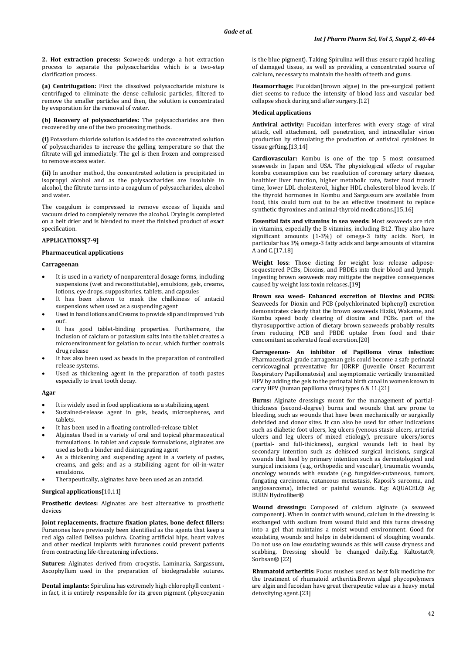**2. Hot extraction process:** Seaweeds undergo a hot extraction process to separate the polysaccharides which is a two-step clarification process.

**(a) Centrifugation:** First the dissolved polysaccharide mixture is centrifuged to eliminate the dense cellulosic particles, filtered to remove the smaller particles and then, the solution is concentrated by evaporation for the removal of water.

**(b) Recovery of polysaccharides:** The polysaccharides are then recovered by one of the two processing methods.

**(i)** Potassium chloride solution is added to the concentrated solution of polysaccharides to increase the gelling temperature so that the filtrate will gel immediately. The gel is then frozen and compressed to remove excess water.

**(ii)** In another method, the concentrated solution is precipitated in isopropyl alcohol and as the polysaccharides are insoluble in alcohol, the filtrate turns into a coagulum of polysaccharides, alcohol and water.

The coagulum is compressed to remove excess of liquids and vacuum dried to completely remove the alcohol. Drying is completed on a belt drier and is blended to meet the finished product of exact specification.

# **APPLICATIONS[7-9]**

#### **Pharmaceutical applications**

#### **Carrageenan**

- It is used in a variety of nonparenteral dosage forms, including suspensions (wet and reconstitutable), emulsions, gels, creams, lotions, eye drops, suppositories, tablets, and capsules
- It has been shown to mask the chalkiness of antacid suspensions when used as a suspending agent
- Used in hand lotions and Creams to provide slip and improved 'rub out'.
- It has good tablet-binding properties. Furthermore, the inclusion of calcium or potassium salts into the tablet creates a microenvironment for gelation to occur, which further controls drug release
- It has also been used as beads in the preparation of controlled release systems.
- Used as thickening agent in the preparation of tooth pastes especially to treat tooth decay.

#### **Agar**

- It is widely used in food applications as a stabilizing agent
- Sustained-release agent in gels, beads, microspheres, and tablets.
- It has been used in a floating controlled-release tablet
- Alginates Used in a variety of oral and topical pharmaceutical formulations. In tablet and capsule formulations, alginates are used as both a binder and disintegrating agent
- As a thickening and suspending agent in a variety of pastes, creams, and gels; and as a stabilizing agent for oil-in-water emulsions.
- Therapeutically, alginates have been used as an antacid.

#### **Surgical applications**[10,11]

**Prosthetic devices:** Alginates are best alternative to prosthetic devices

**Joint replacements, fracture fixation plates, bone defect fillers:**  Furanones have previously been identified as the agents that keep a red alga called Delisea pulchra. Coating artificial hips, heart valves and other medical implants with furanones could prevent patients from contracting life-threatening infections.

**Sutures:** Alginates derived from crocystis, Laminaria, Sargassum, Ascophyllum used in the preparation of biodegradable sutures.

**Dental implants:** Spirulina has extremely high chlorophyll content in fact, it is entirely responsible for its green pigment (phycocyanin is the blue pigment). Taking Spirulina will thus ensure rapid healing of damaged tissue, as well as providing a concentrated source of calcium, necessary to maintain the health of teeth and gums.

**Heamorrhage:** Fucoidan(brown algae) in the pre-surgical patient diet seems to reduce the intensity of blood loss and vascular bed collapse shock during and after surgery.[12]

#### **Medical applications**

**Antiviral activity:** Fucoidan interferes with every stage of viral attack, cell attachment, cell penetration, and intracellular virion production by stimulating the production of antiviral cytokines in tissue grfting.[13,14]

**Cardiovascular:** Kombu is one of the top 5 most consumed seaweeds in Japan and USA. The physiological effects of regular kombu consumption can be: resolution of coronary artery disease, healthier liver function, higher metabolic rate, faster food transit time, lower LDL cholesterol,, higher HDL cholesterol blood levels. If the thyroid hormones in Kombu and Sargassum are available from food, this could turn out to be an effective treatment to replace synthetic thyroxines and animal-thyroid medications.[15,16]

**Essential fats and vitamins in sea weeds:** Most seaweeds are rich in vitamins, especially the B vitamins, including B12. They also have significant amounts (1-3%) of omega-3 fatty acids. Nori, in particular has 3% omega-3 fatty acids and large amounts of vitamins A and C.[17,18]

**Weight loss**: Those dieting for weight loss release adiposesequestered PCBs, Dioxins, and PBDEs into their blood and lymph. Ingesting brown seaweeds may mitigate the negative consequences caused by weight loss toxin releases.[19]

**Brown sea weed- Enhanced excretion of Dioxins and PCBS:** Seaweeds for Dioxin and PCB (polychlorinated biphenyl) excretion demonstrates clearly that the brown seaweeds Hiziki, Wakame, and Kombu speed body clearing of dioxins and PCBs. part of the thyrosupportive action of dietary brown seaweeds probably results from reducing PCB and PBDE uptake from food and their concomitant accelerated fecal excretion.[20]

**Carrageenan- An inhibitor of Papilloma virus infection:** Pharmaceutical grade carrageenan gels could become a safe perinatal cervicovaginal preventative for JORRP (Juvenile Onset Recurrent Respiratory Papillomatosis) and asymptomatic vertically transmitted HPV by adding the gels to the perinatal birth canal in women known to carry HPV (human papilloma virus) types 6 & 11.[21]

**Burns:** Alginate dressings meant for the management of partialthickness (second-degree) burns and wounds that are prone to bleeding, such as wounds that have been mechanically or surgically debrided and donor sites. It can also be used for other indications such as diabetic foot ulcers, leg ulcers (venous stasis ulcers, arterial ulcers and leg ulcers of mixed etiology), pressure ulcers/sores (partial- and full-thickness), surgical wounds left to heal by secondary intention such as dehisced surgical incisions, surgical wounds that heal by primary intention such as dermatological and surgical incisions (e.g., orthopedic and vascular), traumatic wounds, oncology wounds with exudate (e.g. fungoides-cutaneous, tumors, fungating carcinoma, cutaneous metastasis, Kaposi's sarcoma, and angiosarcoma), infected or painful wounds. E.g: AQUACEL® Ag BURN Hydrofiber®

**Wound dressings:** Composed of calcium alginate (a seaweed component). When in contact with wound, calcium in the dressing is exchanged with sodium from wound fluid and this turns dressing into a gel that maintains a moist wound environment. Good for exudating wounds and helps in debridement of sloughing wounds. Do not use on low exudating wounds as this will cause dryness and scabbing. Dressing should be changed daily.E.g. Kaltostat®, Sorbsan® [22]

**Rhumatoid artheritis:** Fucus mushes used as best folk medicine for the treatment of rhumatoid artheritis.Brown algal phycopolymers are algin and fucoidan have great therapeutic value as a heavy metal detoxifying agent.[23]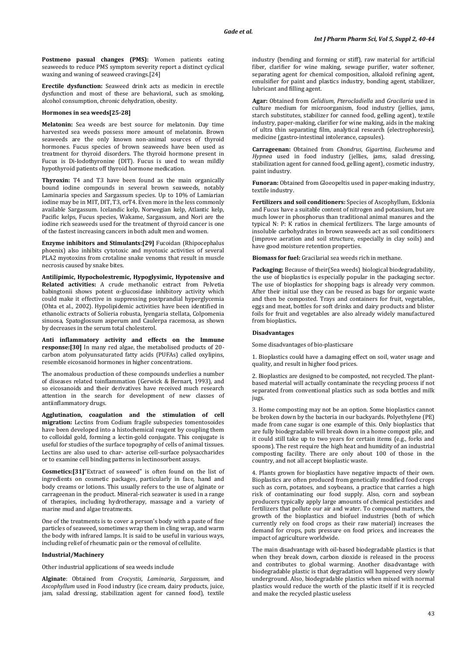**Postmeno pasual changes (PMS):** Women patients eating seaweeds to reduce PMS symptom severity report a distinct cyclical waxing and waning of seaweed cravings.[24]

**Erectile dysfunction:** Seaweed drink acts as medicin in erectile dysfunction and most of these are behavioral, such as smoking, alcohol consumption, chronic dehydration, obesity.

#### **Hormones in sea weeds[25-28]**

**Melatonin:** Sea weeds are best source for melatonin. Day time harvested sea weeds possess more amount of melatonin. Brown seaweeds are the only known non-animal sources of thyroid hormones. Fucus species of brown seaweeds have been used as treatment for thyroid disorders. The thyroid hormone present in Fucus is Di-Iodothyronine (DIT). Fucus is used to wean mildly hypothyroid patients off thyroid hormone medication.

**Thyroxin:** T4 and T3 have been found as the main organically bound iodine compounds in several brown seaweeds, notably Laminaria species and Sargassum species. Up to 10% of Lamiarian iodine may be in MIT, DIT, T3, orT4. Even more in the less commonly available Sargassum. Icelandic kelp, Norwegian kelp, Atlantic kelp, Pacific kelps, Fucus species, Wakame, Sargassum, and Nori are the iodine rich seaweeds used for the treatment of thyroid cancer is one of the fastest increasing cancers in both adult men and women.

**Enzyme inhibitors and Stimulants:[29]** Fucoidan (Rhipocephalus phoenix) also inhibits cytotoxic and myotoxic activities of several PLA2 myotoxins from crotaline snake venoms that result in muscle necrosis caused by snake bites.

**Antilipimic, Hypocholestremic, Hypoglysimic, Hypotensive and Related activities:** A crude methanolic extract from Pelvetia babingtonii shows potent α-glucosidase inhibitory activity which could make it effective in suppressing postprandial hyperglycemia (Ohta et al., 2002). Hypolipidemic activities have been identified in ethanolic extracts of Solieria robusta, Iyengaria stellata, Colpomenia sinuosa, Spatoglossum asperum and Caulerpa racemosa, as shown by decreases in the serum total cholesterol.

**Anti inflammatory activity and effects on the Immune response:[30]** In many red algae, the metabolised products of 20 carbon atom polyunsaturated fatty acids (PUFAs) called oxylipins, resemble eicosanoid hormones in higher concentrations.

The anomalous production of these compounds underlies a number of diseases related toinflammation (Gerwick & Bernart, 1993), and so eicosanoids and their derivatives have received much research attention in the search for development of new classes of antiinflammatory drugs.

**Agglutination, coagulation and the stimulation of cell migration:** Lectins from Codium fragile subspecies tomentosoides have been developed into a histochemical reagent by coupling them to colloidal gold, forming a lectin-gold conjugate. This conjugate is useful for studies of the surface topography of cells of animal tissues. Lectins are also used to char- acterise cell-surface polysaccharides or to examine cell binding patterns in lectinosorbent assays.

**Cosmetics:[31]**"Extract of seaweed" is often found on the list of ingredients on cosmetic packages, particularly in face, hand and body creams or lotions. This usually refers to the use of alginate or carrageenan in the product. Mineral-rich seawater is used in a range of therapies, including hydrotherapy, massage and a variety of marine mud and algae treatments.

One of the treatments is to cover a person's body with a paste of fine particles of seaweed, sometimes wrap them in cling wrap, and warm the body with infrared lamps. It is said to be useful in various ways, including relief of rheumatic pain or the removal of cellulite.

# **Industrial/Machinery**

Other industrial applications of sea weeds include

**Alginate**: Obtained from *Crocystis*, *Laminaria*, *Sargassum*, and *Ascophyllum* used in Food industry (ice cream, dairy products, juice, jam, salad dressing, stabilization agent for canned food), textile industry (bending and forming or stiff), raw material for artificial fiber, clarifier for wine making, sewage purifier, water softener, separating agent for chemical composition, alkaloid refining agent, emulsifier for paint and plastics industry, bonding agent, stabilizer, lubricant and filling agent.

**Agar:** Obtained from *Gelidium*, *Pterocladiella* and *Gracilaria* used in culture medium for microorganism, food industry (jellies, jams, starch substitutes, stabilizer for canned food, gelling agent), textile industry, paper-making, clarifier for wine making, aids in the making of ultra thin separating film, analytical research (electrophoresis), medicine (gastro-intestinal intolerance, capsules).

**Carrageenan:** Obtained from *Chondrus, Gigartina, Eucheuma* and *Hypnea* used in food industry (jellies, jams, salad dressing, stabilization agent for canned food, gelling agent), cosmetic industry, paint industry.

**Funoran:** Obtained from Gloeopeltis used in paper-making industry, textile industry.

**Fertilizers and soil conditioners:** Species of Ascophyllum, Ecklonia and Fucus have a suitable content of nitrogen and potassium, but are much lower in phosphorus than traditional animal manures and the typical N: P: K ratios in chemical fertilizers. The large amounts of insoluble carbohydrates in brown seaweeds act as soil conditioners (improve aeration and soil structure, especially in clay soils) and have good moisture retention properties.

**Biomass for fuel:** Gracilarial sea weeds rich in methane.

**Packaging:** Because of their(Sea weeds) biological biodegradability, the use of bioplastics is especially popular in the [packaging](http://www.chemeurope.com/en/encyclopedia/Packaging.html) sector. The use of bioplastics for shopping bags is already very common. After their initial use they can be reused as bags for [organic waste](http://www.chemeurope.com/en/encyclopedia/Organic_waste.html) and then be [composted.](http://www.chemeurope.com/en/encyclopedia/Compost.html) Trays and containers for fruit, vegetables, eggs and meat, bottles for soft drinks and dairy products and blister foils for fruit and vegetables are also already widely manufactured from bioplastics*.* 

#### **Disadvantages**

Some disadvantages of bio-plasticsare

1. Bioplastics could have a damaging effect on soil, water usage and quality, and result in higher food prices.

2. Bioplastics are designed to be composted, not recycled. The plantbased material will actually contaminate the recycling process if not separated from conventional plastics such as soda bottles and milk jugs.

3. Home composting may not be an option. Some bioplastics cannot be broken down by the bacteria in our backyards. Polyethylene (PE) made from cane sugar is one example of this. Only bioplastics that are fully biodegradable will break down in a home compost pile, and it could still take up to two years for certain items (e.g., forks and spoons). The rest require the high heat and humidity of an industrial composting facility. There are only about 100 of those in the country, and not all accept bioplastic waste.

4. Plants grown for bioplastics have negative impacts of their own. Bioplastics are often produced from genetically modified food crops such as corn, potatoes, and soybeans, a practice that carries a high risk of contaminating our food supply. Also, corn and soybean producers typically apply large amounts of chemical pesticides and fertilizers that pollute our air and water. To compound matters, the growth of the bioplastics and biofuel industries (both of which currently rely on food crops as their raw material) increases the demand for crops, puts pressure on food prices, and increases the impact of agriculture worldwide.

The main disadvantage with oil-based biodegradable plastics is that when they break down, carbon dioxide is released in the process and contributes to global warming. Another disadvantage with biodegradable plastic is that degradation will happened very slowly underground. Also, biodegradable plastics when mixed with normal plastics would reduce the worth of the plastic itself if it is recycled and make the recycled plastic useless